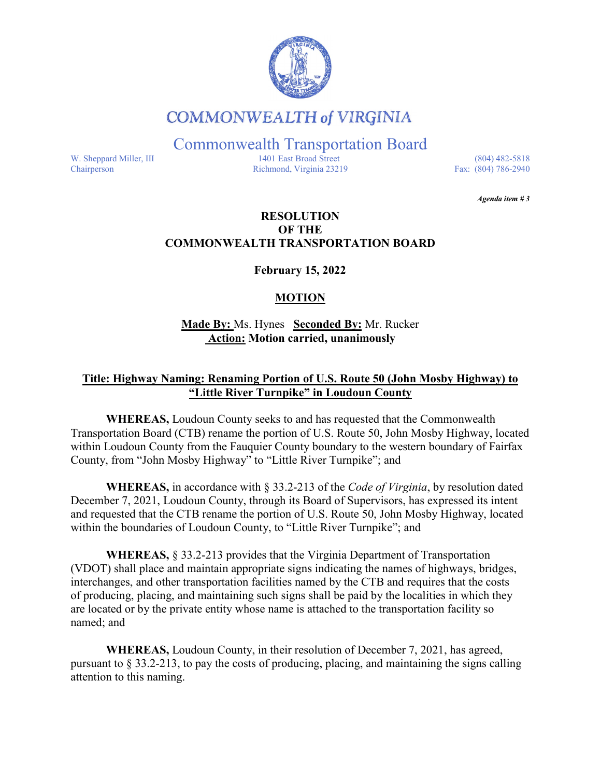

# **COMMONWEALTH of VIRGINIA**

Commonwealth Transportation Board

W. Sheppard Miller, III 1401 East Broad Street (804) 482-5818<br>Chairperson Richmond, Virginia 23219 Fax: (804) 786-2940 Richmond, Virginia 23219

*Agenda item # <sup>3</sup>* 

### **RESOLUTION OF THE COMMONWEALTH TRANSPORTATION BOARD**

**February 15, 2022**

## **MOTION**

## **Made By:** Ms. Hynes **Seconded By:** Mr. Rucker **Action: Motion carried, unanimously**

## **Title: Highway Naming: Renaming Portion of U.S. Route 50 (John Mosby Highway) to "Little River Turnpike" in Loudoun County**

**WHEREAS,** Loudoun County seeks to and has requested that the Commonwealth Transportation Board (CTB) rename the portion of U.S. Route 50, John Mosby Highway, located within Loudoun County from the Fauquier County boundary to the western boundary of Fairfax County, from "John Mosby Highway" to "Little River Turnpike"; and

**WHEREAS,** in accordance with § 33.2-213 of the *Code of Virginia*, by resolution dated December 7, 2021, Loudoun County, through its Board of Supervisors, has expressed its intent and requested that the CTB rename the portion of U.S. Route 50, John Mosby Highway, located within the boundaries of Loudoun County, to "Little River Turnpike"; and

**WHEREAS,** § 33.2-213 provides that the Virginia Department of Transportation (VDOT) shall place and maintain appropriate signs indicating the names of highways, bridges, interchanges, and other transportation facilities named by the CTB and requires that the costs of producing, placing, and maintaining such signs shall be paid by the localities in which they are located or by the private entity whose name is attached to the transportation facility so named; and

**WHEREAS,** Loudoun County, in their resolution of December 7, 2021, has agreed, pursuant to § 33.2-213, to pay the costs of producing, placing, and maintaining the signs calling attention to this naming.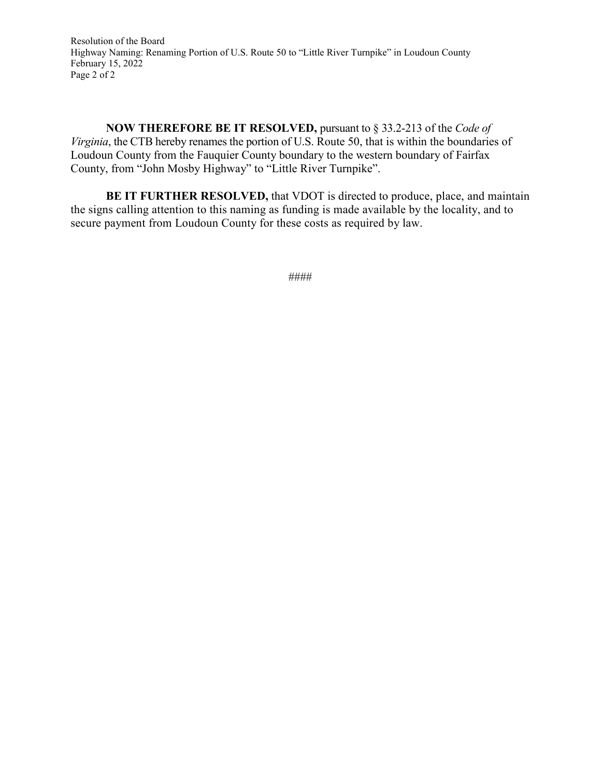Resolution of the Board Highway Naming: Renaming Portion of U.S. Route 50 to "Little River Turnpike" in Loudoun County February 15, 2022 Page 2 of 2

**NOW THEREFORE BE IT RESOLVED,** pursuant to § 33.2-213 of the *Code of Virginia*, the CTB hereby renames the portion of U.S. Route 50, that is within the boundaries of Loudoun County from the Fauquier County boundary to the western boundary of Fairfax County, from "John Mosby Highway" to "Little River Turnpike".

**BE IT FURTHER RESOLVED, that VDOT** is directed to produce, place, and maintain the signs calling attention to this naming as funding is made available by the locality, and to secure payment from Loudoun County for these costs as required by law.

####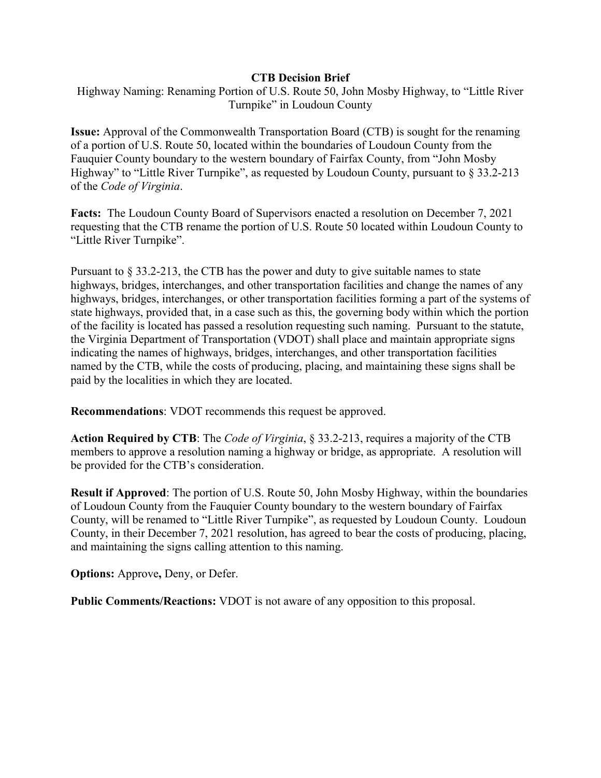#### **CTB Decision Brief**

Highway Naming: Renaming Portion of U.S. Route 50, John Mosby Highway, to "Little River Turnpike" in Loudoun County

**Issue:** Approval of the Commonwealth Transportation Board (CTB) is sought for the renaming of a portion of U.S. Route 50, located within the boundaries of Loudoun County from the Fauquier County boundary to the western boundary of Fairfax County, from "John Mosby Highway" to "Little River Turnpike", as requested by Loudoun County, pursuant to § 33.2-213 of the *Code of Virginia*.

**Facts:** The Loudoun County Board of Supervisors enacted a resolution on December 7, 2021 requesting that the CTB rename the portion of U.S. Route 50 located within Loudoun County to "Little River Turnpike".

Pursuant to § 33.2-213, the CTB has the power and duty to give suitable names to state highways, bridges, interchanges, and other transportation facilities and change the names of any highways, bridges, interchanges, or other transportation facilities forming a part of the systems of state highways, provided that, in a case such as this, the governing body within which the portion of the facility is located has passed a resolution requesting such naming. Pursuant to the statute, the Virginia Department of Transportation (VDOT) shall place and maintain appropriate signs indicating the names of highways, bridges, interchanges, and other transportation facilities named by the CTB, while the costs of producing, placing, and maintaining these signs shall be paid by the localities in which they are located.

**Recommendations**: VDOT recommends this request be approved.

**Action Required by CTB**: The *Code of Virginia*, § 33.2-213, requires a majority of the CTB members to approve a resolution naming a highway or bridge, as appropriate. A resolution will be provided for the CTB's consideration.

**Result if Approved**: The portion of U.S. Route 50, John Mosby Highway, within the boundaries of Loudoun County from the Fauquier County boundary to the western boundary of Fairfax County, will be renamed to "Little River Turnpike", as requested by Loudoun County. Loudoun County, in their December 7, 2021 resolution, has agreed to bear the costs of producing, placing, and maintaining the signs calling attention to this naming.

**Options:** Approve**,** Deny, or Defer.

**Public Comments/Reactions:** VDOT is not aware of any opposition to this proposal.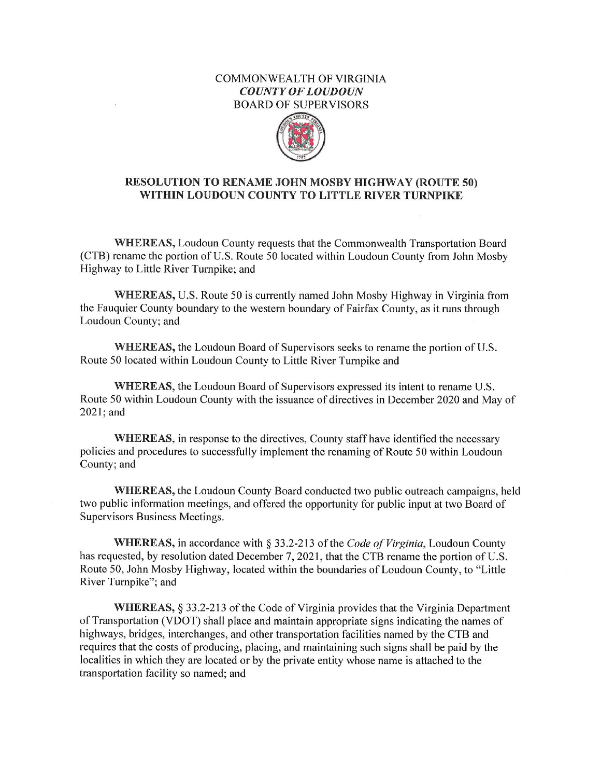#### **COMMONWEALTH OF VIRGINIA COUNTY OF LOUDOUN BOARD OF SUPERVISORS**



#### **RESOLUTION TO RENAME JOHN MOSBY HIGHWAY (ROUTE 50)** WITHIN LOUDOUN COUNTY TO LITTLE RIVER TURNPIKE

WHEREAS, Loudoun County requests that the Commonwealth Transportation Board (CTB) rename the portion of U.S. Route 50 located within Loudoun County from John Mosby Highway to Little River Turnpike; and

WHEREAS, U.S. Route 50 is currently named John Mosby Highway in Virginia from the Fauquier County boundary to the western boundary of Fairfax County, as it runs through Loudoun County; and

**WHEREAS, the Loudoun Board of Supervisors seeks to rename the portion of U.S.** Route 50 located within Loudoun County to Little River Turnpike and

WHEREAS, the Loudoun Board of Supervisors expressed its intent to rename U.S. Route 50 within Loudoun County with the issuance of directives in December 2020 and May of 2021; and

**WHEREAS**, in response to the directives, County staff have identified the necessary policies and procedures to successfully implement the renaming of Route 50 within Loudoun County; and

**WHEREAS**, the Loudoun County Board conducted two public outreach campaigns, held two public information meetings, and offered the opportunity for public input at two Board of Supervisors Business Meetings.

**WHEREAS, in accordance with § 33.2-213 of the Code of Virginia, Loudoun County** has requested, by resolution dated December 7, 2021, that the CTB rename the portion of U.S. Route 50, John Mosby Highway, located within the boundaries of Loudoun County, to "Little" River Turnpike"; and

**WHEREAS,**  $\S 33.2-213$  of the Code of Virginia provides that the Virginia Department of Transportation (VDOT) shall place and maintain appropriate signs indicating the names of highways, bridges, interchanges, and other transportation facilities named by the CTB and requires that the costs of producing, placing, and maintaining such signs shall be paid by the localities in which they are located or by the private entity whose name is attached to the transportation facility so named; and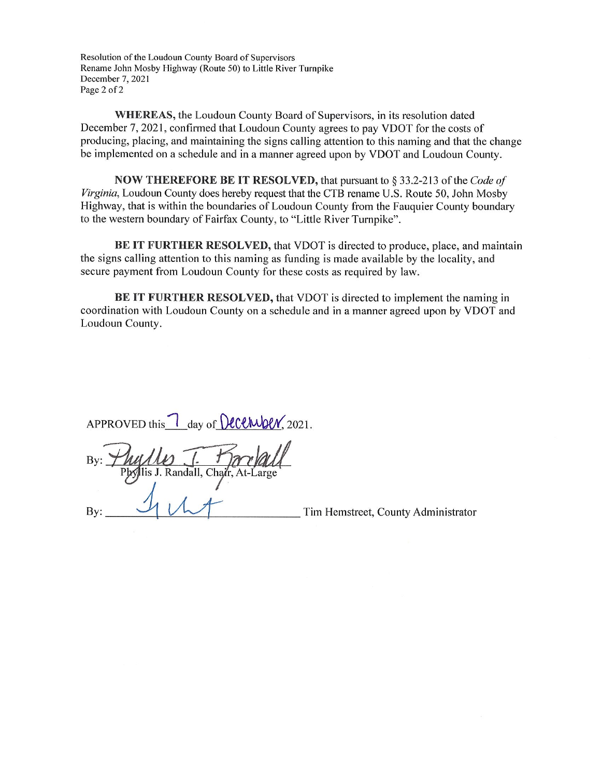Resolution of the Loudoun County Board of Supervisors Rename John Mosby Highway (Route 50) to Little River Turnpike December 7, 2021 Page 2 of 2

WHEREAS, the Loudoun County Board of Supervisors, in its resolution dated December 7, 2021, confirmed that Loudoun County agrees to pay VDOT for the costs of producing, placing, and maintaining the signs calling attention to this naming and that the change be implemented on a schedule and in a manner agreed upon by VDOT and Loudoun County.

**NOW THEREFORE BE IT RESOLVED, that pursuant to § 33.2-213 of the Code of** Virginia, Loudoun County does hereby request that the CTB rename U.S. Route 50, John Mosby Highway, that is within the boundaries of Loudoun County from the Fauquier County boundary to the western boundary of Fairfax County, to "Little River Turnpike".

**BE IT FURTHER RESOLVED, that VDOT is directed to produce, place, and maintain** the signs calling attention to this naming as funding is made available by the locality, and secure payment from Loudoun County for these costs as required by law.

BE IT FURTHER RESOLVED, that VDOT is directed to implement the naming in coordination with Loudoun County on a schedule and in a manner agreed upon by VDOT and Loudoun County.

APPROVED this l day of **December**, 2021.

J. Randall, Chair.

By:

Tim Hemstreet, County Administrator